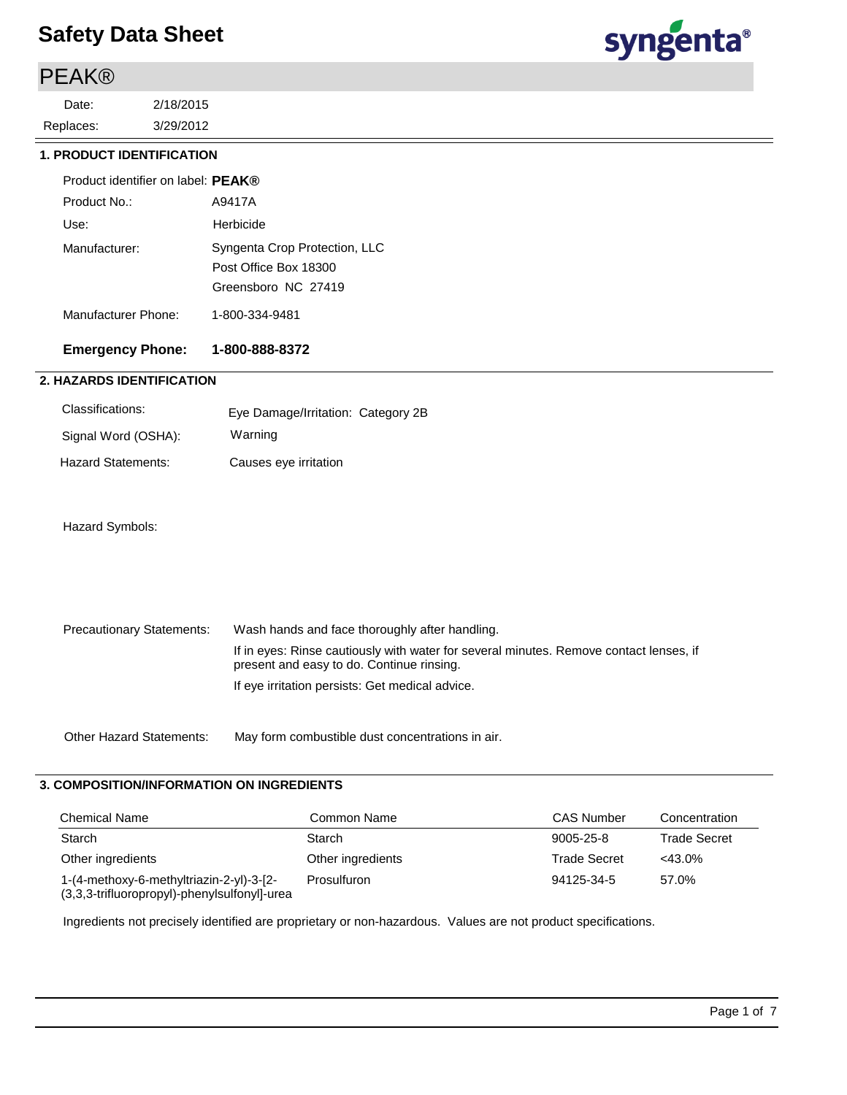## PEAK®

3/29/2012 2/18/2015 Replaces: Date:



#### **1. PRODUCT IDENTIFICATION**

| Product identifier on label: <b>PEAK</b> ® |                                                                               |
|--------------------------------------------|-------------------------------------------------------------------------------|
| Product No.:                               | A9417A                                                                        |
| Use:                                       | Herbicide                                                                     |
| Manufacturer:                              | Syngenta Crop Protection, LLC<br>Post Office Box 18300<br>Greensboro NC 27419 |
| Manufacturer Phone:                        | 1-800-334-9481                                                                |

### **Emergency Phone: 1-800-888-8372**

### **2. HAZARDS IDENTIFICATION**

| Classifications:    | Eye Damage/Irritation: Category 2B |  |
|---------------------|------------------------------------|--|
| Signal Word (OSHA): | Warning                            |  |
| Hazard Statements:  | Causes eye irritation              |  |

#### Hazard Symbols:

| Precautionary Statements: | Wash hands and face thoroughly after handling.                                                                                      |
|---------------------------|-------------------------------------------------------------------------------------------------------------------------------------|
|                           | If in eyes: Rinse cautiously with water for several minutes. Remove contact lenses, if<br>present and easy to do. Continue rinsing. |
|                           | If eye irritation persists: Get medical advice.                                                                                     |

Other Hazard Statements: May form combustible dust concentrations in air.

#### **3. COMPOSITION/INFORMATION ON INGREDIENTS**

| <b>Chemical Name</b>                                                                     | Common Name       | <b>CAS Number</b>   | Concentration       |
|------------------------------------------------------------------------------------------|-------------------|---------------------|---------------------|
| Starch                                                                                   | Starch            | 9005-25-8           | <b>Trade Secret</b> |
| Other ingredients                                                                        | Other ingredients | <b>Trade Secret</b> | $<43.0\%$           |
| 1-(4-methoxy-6-methyltriazin-2-yl)-3-[2-<br>(3,3,3-trifluoropropyl)-phenylsulfonyl]-urea | Prosulfuron       | 94125-34-5          | 57.0%               |

Ingredients not precisely identified are proprietary or non-hazardous. Values are not product specifications.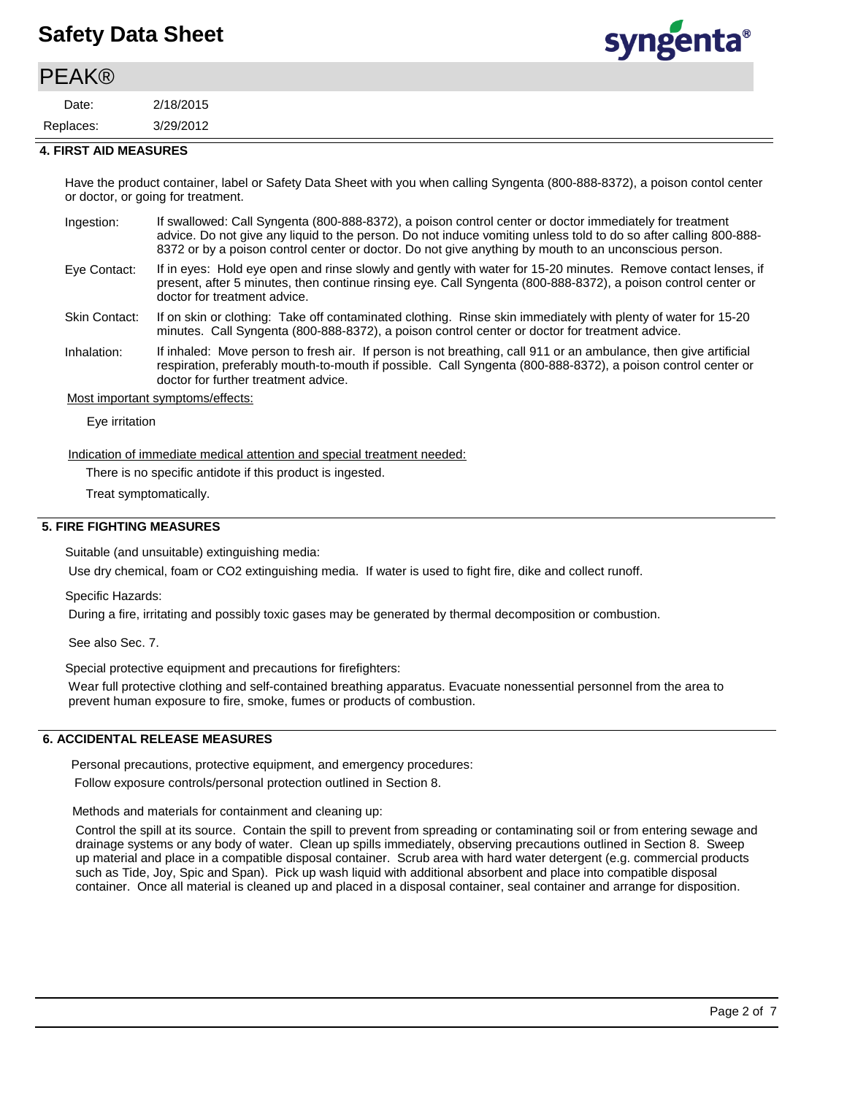### **PEAK®**

3/29/2012 2/18/2015 Replaces: Date:



#### **4. FIRST AID MEASURES**

Have the product container, label or Safety Data Sheet with you when calling Syngenta (800-888-8372), a poison contol center or doctor, or going for treatment.

| Ingestion:           | If swallowed: Call Syngenta (800-888-8372), a poison control center or doctor immediately for treatment<br>advice. Do not give any liquid to the person. Do not induce vomiting unless told to do so after calling 800-888-<br>8372 or by a poison control center or doctor. Do not give anything by mouth to an unconscious person. |
|----------------------|--------------------------------------------------------------------------------------------------------------------------------------------------------------------------------------------------------------------------------------------------------------------------------------------------------------------------------------|
| Eye Contact:         | If in eyes: Hold eye open and rinse slowly and gently with water for 15-20 minutes. Remove contact lenses, if<br>present, after 5 minutes, then continue rinsing eye. Call Syngenta (800-888-8372), a poison control center or<br>doctor for treatment advice.                                                                       |
| <b>Skin Contact:</b> | If on skin or clothing: Take off contaminated clothing. Rinse skin immediately with plenty of water for 15-20<br>minutes. Call Syngenta (800-888-8372), a poison control center or doctor for treatment advice.                                                                                                                      |
| Inhalation:          | If inhaled: Move person to fresh air If person is not breathing call 911 or an ambulance then give artificial                                                                                                                                                                                                                        |

If inhaled: Move person to fresh air. If person is not breathing, call 911 or an ambulance, then give artificial respiration, preferably mouth-to-mouth if possible. Call Syngenta (800-888-8372), a poison control center or doctor for further treatment advice. Inhalation:

#### Most important symptoms/effects:

Eye irritation

Indication of immediate medical attention and special treatment needed:

There is no specific antidote if this product is ingested.

Treat symptomatically.

#### **5. FIRE FIGHTING MEASURES**

Suitable (and unsuitable) extinguishing media:

Use dry chemical, foam or CO2 extinguishing media. If water is used to fight fire, dike and collect runoff.

Specific Hazards:

During a fire, irritating and possibly toxic gases may be generated by thermal decomposition or combustion.

See also Sec. 7.

Special protective equipment and precautions for firefighters:

Wear full protective clothing and self-contained breathing apparatus. Evacuate nonessential personnel from the area to prevent human exposure to fire, smoke, fumes or products of combustion.

#### **6. ACCIDENTAL RELEASE MEASURES**

Personal precautions, protective equipment, and emergency procedures:

Follow exposure controls/personal protection outlined in Section 8.

Methods and materials for containment and cleaning up:

Control the spill at its source. Contain the spill to prevent from spreading or contaminating soil or from entering sewage and drainage systems or any body of water. Clean up spills immediately, observing precautions outlined in Section 8. Sweep up material and place in a compatible disposal container. Scrub area with hard water detergent (e.g. commercial products such as Tide, Joy, Spic and Span). Pick up wash liquid with additional absorbent and place into compatible disposal container. Once all material is cleaned up and placed in a disposal container, seal container and arrange for disposition.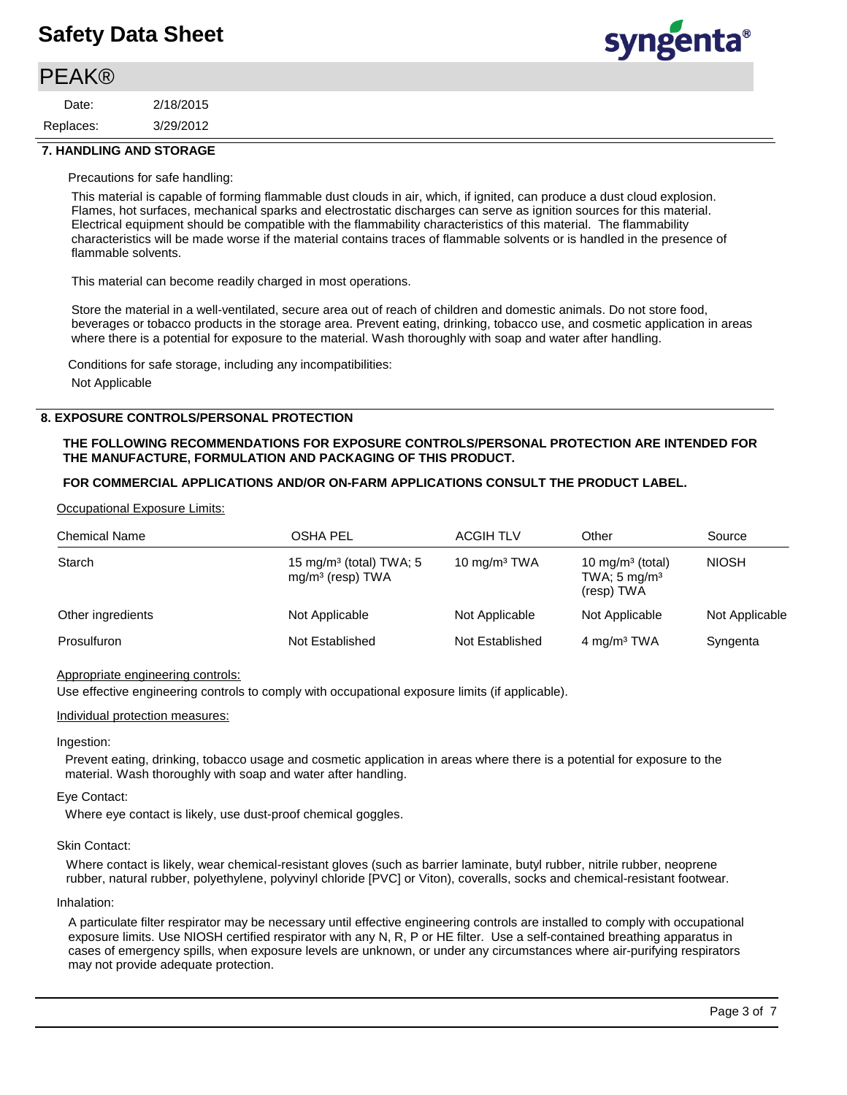### **PEAK®**

| Date:     | 2/18/2015 |
|-----------|-----------|
| Replaces: | 3/29/2012 |



#### **7. HANDLING AND STORAGE**

Precautions for safe handling:

This material is capable of forming flammable dust clouds in air, which, if ignited, can produce a dust cloud explosion. Flames, hot surfaces, mechanical sparks and electrostatic discharges can serve as ignition sources for this material. Electrical equipment should be compatible with the flammability characteristics of this material. The flammability characteristics will be made worse if the material contains traces of flammable solvents or is handled in the presence of flammable solvents.

This material can become readily charged in most operations.

Store the material in a well-ventilated, secure area out of reach of children and domestic animals. Do not store food, beverages or tobacco products in the storage area. Prevent eating, drinking, tobacco use, and cosmetic application in areas where there is a potential for exposure to the material. Wash thoroughly with soap and water after handling.

Conditions for safe storage, including any incompatibilities: Not Applicable

#### **8. EXPOSURE CONTROLS/PERSONAL PROTECTION**

#### **THE FOLLOWING RECOMMENDATIONS FOR EXPOSURE CONTROLS/PERSONAL PROTECTION ARE INTENDED FOR THE MANUFACTURE, FORMULATION AND PACKAGING OF THIS PRODUCT.**

#### **FOR COMMERCIAL APPLICATIONS AND/OR ON-FARM APPLICATIONS CONSULT THE PRODUCT LABEL.**

#### Occupational Exposure Limits:

| <b>Chemical Name</b> | <b>OSHA PEL</b>                                           | <b>ACGIH TLV</b> | Other                                                                 | Source         |
|----------------------|-----------------------------------------------------------|------------------|-----------------------------------------------------------------------|----------------|
| Starch               | 15 mg/m <sup>3</sup> (total) TWA; 5<br>$mg/m3$ (resp) TWA | 10 $mq/m3 TWA$   | 10 mg/m <sup>3</sup> (total)<br>TWA; $5 \text{ mg/m}^3$<br>(resp) TWA | <b>NIOSH</b>   |
| Other ingredients    | Not Applicable                                            | Not Applicable   | Not Applicable                                                        | Not Applicable |
| Prosulfuron          | Not Established                                           | Not Established  | 4 mg/m <sup>3</sup> TWA                                               | Syngenta       |

#### Appropriate engineering controls:

Use effective engineering controls to comply with occupational exposure limits (if applicable).

#### Individual protection measures:

#### Ingestion:

Prevent eating, drinking, tobacco usage and cosmetic application in areas where there is a potential for exposure to the material. Wash thoroughly with soap and water after handling.

#### Eye Contact:

Where eye contact is likely, use dust-proof chemical goggles.

#### Skin Contact:

Where contact is likely, wear chemical-resistant gloves (such as barrier laminate, butyl rubber, nitrile rubber, neoprene rubber, natural rubber, polyethylene, polyvinyl chloride [PVC] or Viton), coveralls, socks and chemical-resistant footwear.

#### Inhalation:

A particulate filter respirator may be necessary until effective engineering controls are installed to comply with occupational exposure limits. Use NIOSH certified respirator with any N, R, P or HE filter. Use a self-contained breathing apparatus in cases of emergency spills, when exposure levels are unknown, or under any circumstances where air-purifying respirators may not provide adequate protection.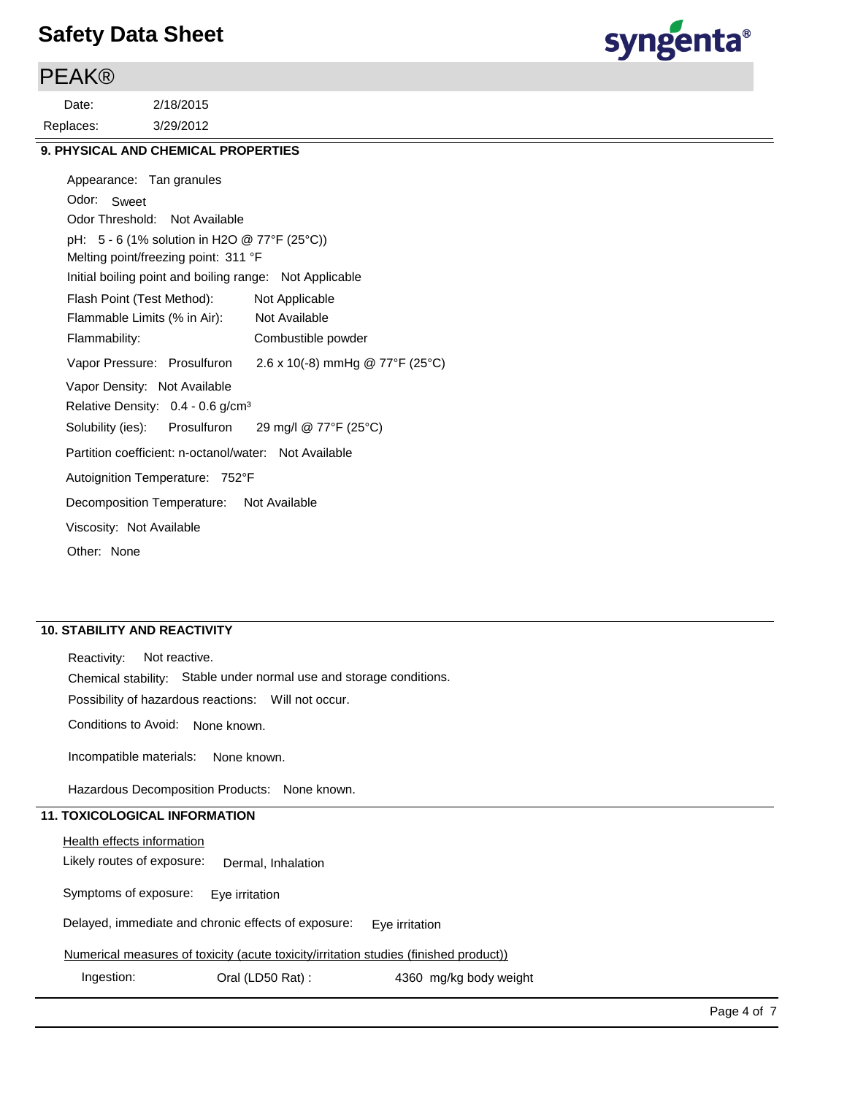### **PEAK®**

3/29/2012 2/18/2015 Replaces: Date:



### **9. PHYSICAL AND CHEMICAL PROPERTIES**

| Appearance: Tan granules                                |                                 |
|---------------------------------------------------------|---------------------------------|
| Odor: Sweet                                             |                                 |
| Odor Threshold: Not Available                           |                                 |
| pH: $5 - 6$ (1% solution in H2O @ 77°F (25°C))          |                                 |
| Melting point/freezing point: 311 °F                    |                                 |
| Initial boiling point and boiling range: Not Applicable |                                 |
| Flash Point (Test Method):                              | Not Applicable                  |
| Flammable Limits (% in Air):                            | Not Available                   |
| Flammability:                                           | Combustible powder              |
| Vapor Pressure: Prosulfuron                             | 2.6 x 10(-8) mmHg @ 77°F (25°C) |
| Vapor Density: Not Available                            |                                 |
| Relative Density: $0.4 - 0.6$ g/cm <sup>3</sup>         |                                 |
| Solubility (ies): Prosulfuron 29 mg/l @ 77°F (25°C)     |                                 |
| Partition coefficient: n-octanol/water: Not Available   |                                 |
| Autoignition Temperature: 752°F                         |                                 |
| Decomposition Temperature: Not Available                |                                 |
| Viscosity: Not Available                                |                                 |
| Other: None                                             |                                 |

#### **10. STABILITY AND REACTIVITY**

Incompatible materials: None known. Possibility of hazardous reactions: Will not occur. Chemical stability: Stable under normal use and storage conditions. Reactivity: Not reactive. Conditions to Avoid: None known.

Hazardous Decomposition Products: None known.

### **11. TOXICOLOGICAL INFORMATION**

**Health effects information** 

Likely routes of exposure: Dermal, Inhalation

Symptoms of exposure: Eye irritation

Delayed, immediate and chronic effects of exposure: Eye irritation

Numerical measures of toxicity (acute toxicity/irritation studies (finished product))

Ingestion: Cral (LD50 Rat) : 4360 mg/kg body weight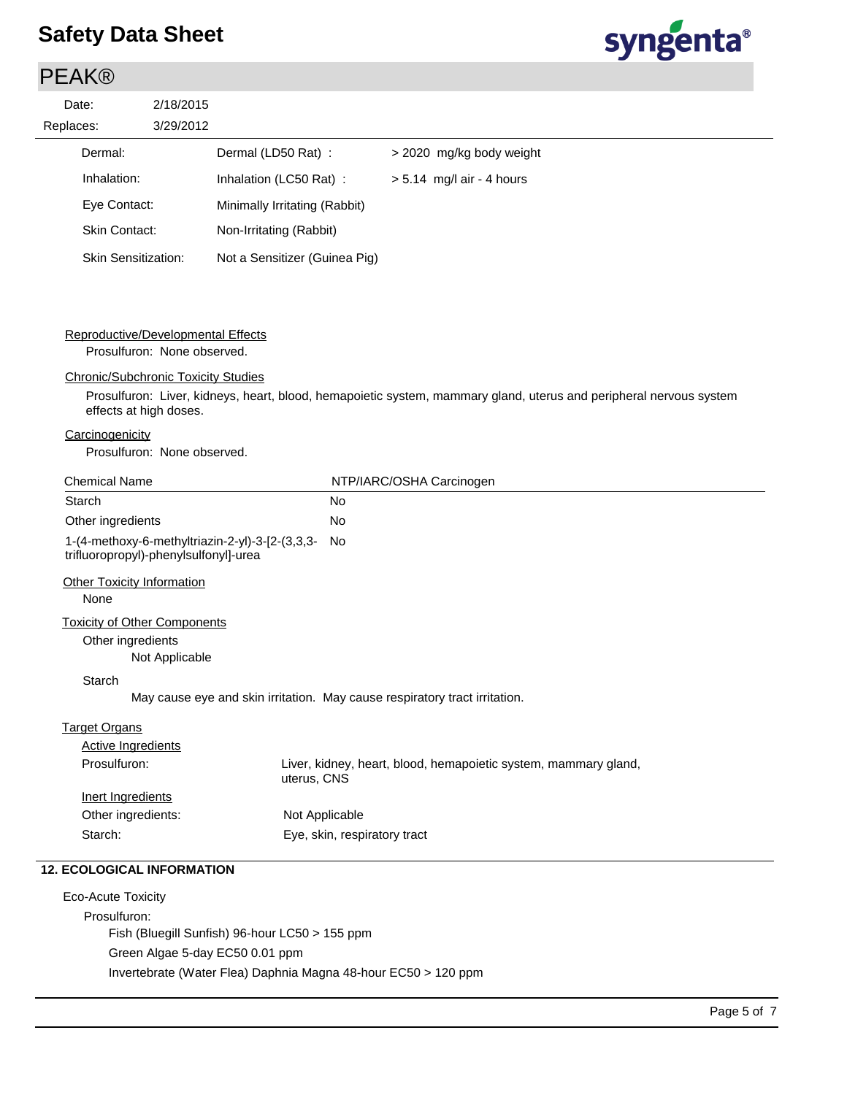### PEAK®

| Date:     | 2/18/20 |
|-----------|---------|
| Replaces: | 3/29/20 |
|           |         |



|           | Date:                      | 2/18/2015 |                               |                             |
|-----------|----------------------------|-----------|-------------------------------|-----------------------------|
| Replaces: |                            | 3/29/2012 |                               |                             |
|           | Dermal:                    |           | Dermal (LD50 Rat):            | > 2020 mg/kg body weight    |
|           | Inhalation:                |           | Inhalation (LC50 Rat):        | $> 5.14$ mg/l air - 4 hours |
|           | Eye Contact:               |           | Minimally Irritating (Rabbit) |                             |
|           | Skin Contact:              |           | Non-Irritating (Rabbit)       |                             |
|           | <b>Skin Sensitization:</b> |           | Not a Sensitizer (Guinea Pig) |                             |

### Reproductive/Developmental Effects

Prosulfuron: None observed.

#### Chronic/Subchronic Toxicity Studies

Prosulfuron: Liver, kidneys, heart, blood, hemapoietic system, mammary gland, uterus and peripheral nervous system effects at high doses.

### **Carcinogenicity**

Prosulfuron: None observed.

| <b>Starch</b>                                                                            | <b>No</b>                                                                      |
|------------------------------------------------------------------------------------------|--------------------------------------------------------------------------------|
| Other ingredients                                                                        | <b>No</b>                                                                      |
| 1-(4-methoxy-6-methyltriazin-2-yl)-3-[2-(3,3,3-<br>trifluoropropyl)-phenylsulfonyl]-urea | No                                                                             |
| <b>Other Toxicity Information</b>                                                        |                                                                                |
| None                                                                                     |                                                                                |
| <b>Toxicity of Other Components</b>                                                      |                                                                                |
|                                                                                          |                                                                                |
| Other ingredients                                                                        |                                                                                |
| Not Applicable                                                                           |                                                                                |
| <b>Starch</b>                                                                            |                                                                                |
|                                                                                          | May cause eye and skin irritation. May cause respiratory tract irritation.     |
| <b>Target Organs</b>                                                                     |                                                                                |
| <b>Active Ingredients</b>                                                                |                                                                                |
| Prosulfuron:                                                                             | Liver, kidney, heart, blood, hemapoietic system, mammary gland,<br>uterus, CNS |
| Inert Ingredients                                                                        |                                                                                |
| Other ingredients:                                                                       | Not Applicable                                                                 |

Eco-Acute Toxicity Prosulfuron: Fish (Bluegill Sunfish) 96-hour LC50 > 155 ppm Green Algae 5-day EC50 0.01 ppm Invertebrate (Water Flea) Daphnia Magna 48-hour EC50 > 120 ppm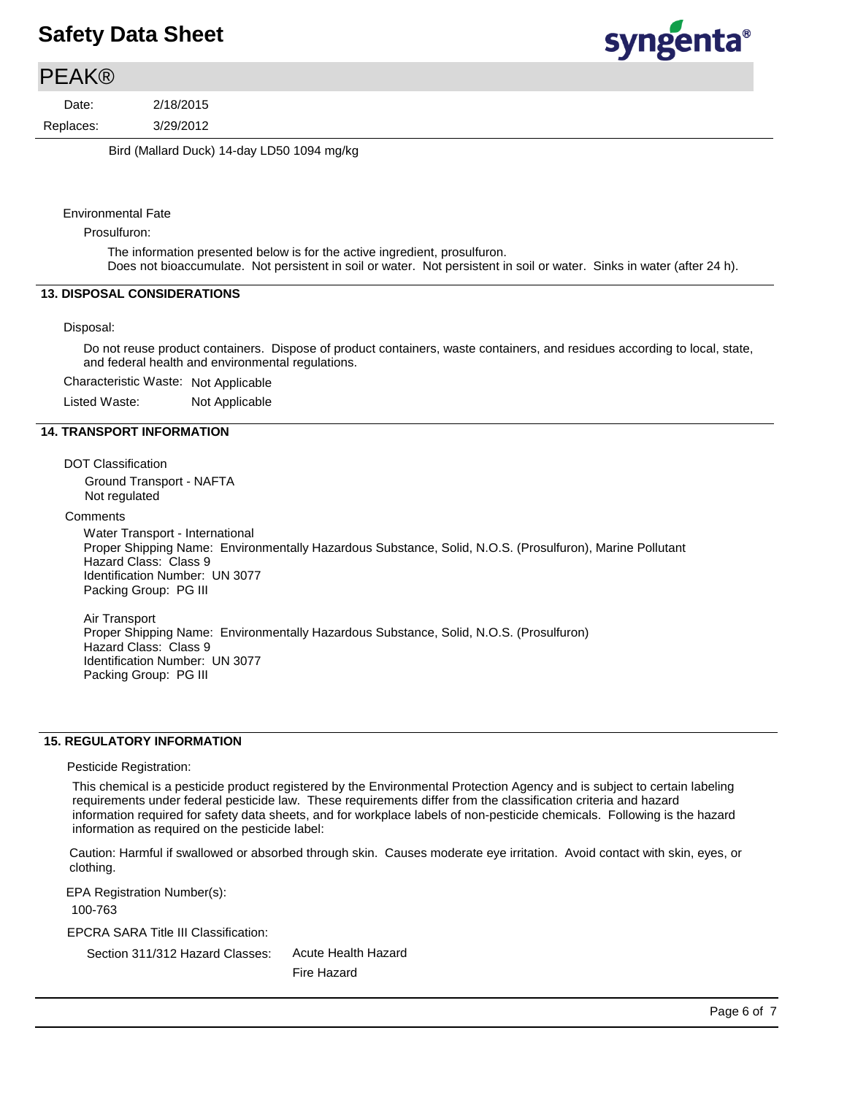### **PEAK®**

3/29/2012 2/18/2015 Replaces: Date:

Bird (Mallard Duck) 14-day LD50 1094 mg/kg

Environmental Fate

Prosulfuron:

The information presented below is for the active ingredient, prosulfuron. Does not bioaccumulate. Not persistent in soil or water. Not persistent in soil or water. Sinks in water (after 24 h).

#### **13. DISPOSAL CONSIDERATIONS**

#### Disposal:

Do not reuse product containers. Dispose of product containers, waste containers, and residues according to local, state, and federal health and environmental regulations.

Characteristic Waste: Not Applicable

Listed Waste: Not Applicable

#### **14. TRANSPORT INFORMATION**

DOT Classification

Ground Transport - NAFTA Not regulated

**Comments** 

Water Transport - International Proper Shipping Name: Environmentally Hazardous Substance, Solid, N.O.S. (Prosulfuron), Marine Pollutant Hazard Class: Class 9 Identification Number: UN 3077 Packing Group: PG III

Air Transport Proper Shipping Name: Environmentally Hazardous Substance, Solid, N.O.S. (Prosulfuron) Hazard Class: Class 9 Identification Number: UN 3077 Packing Group: PG III

#### **15. REGULATORY INFORMATION**

Pesticide Registration:

This chemical is a pesticide product registered by the Environmental Protection Agency and is subject to certain labeling requirements under federal pesticide law. These requirements differ from the classification criteria and hazard information required for safety data sheets, and for workplace labels of non-pesticide chemicals. Following is the hazard information as required on the pesticide label:

Caution: Harmful if swallowed or absorbed through skin. Causes moderate eye irritation. Avoid contact with skin, eyes, or clothing.

EPA Registration Number(s):

100-763

EPCRA SARA Title III Classification:

Section 311/312 Hazard Classes:

Acute Health Hazard Fire Hazard

syngenta®